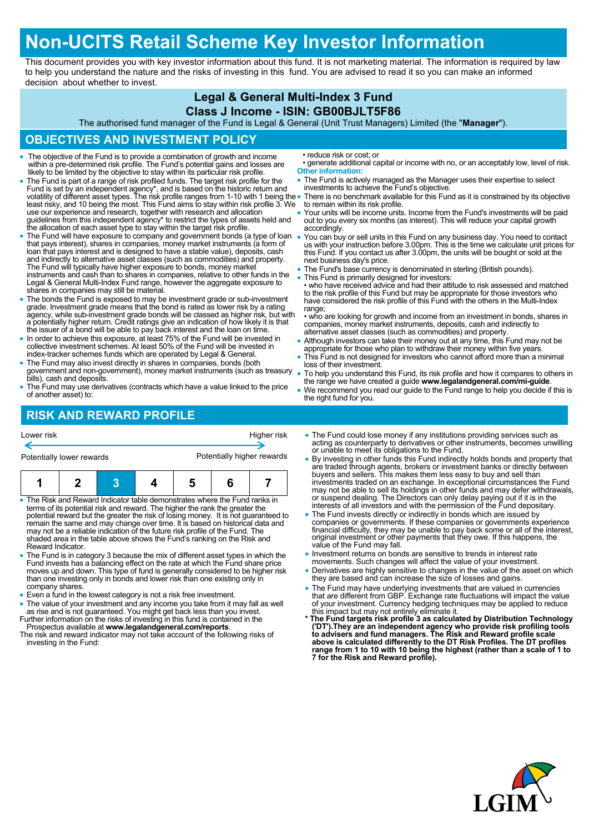# **Non-UCITS Retail Scheme Key Investor Information**

This document provides you with key investor information about this fund. It is not marketing material. The information is required by law to help you understand the nature and the risks of investing in this fund. You are advised to read it so you can make an informed decision about whether to invest.

#### **Legal & General Multi-Index 3 Fund**

#### **Class J Income - ISIN: GB00BJLT5F86**

The authorised fund manager of the Fund is Legal & General (Unit Trust Managers) Limited (the "**Manager**").

### **OBJECTIVES AND INVESTMENT POLICY**

- The objective of the Fund is to provide a combination of growth and income within a pre-determined risk profile. The Fund's potential gains and losses are likely to be limited by the objective to stay within its particular risk profile.
- The Fund is part of a range of risk profiled funds. The target risk profile for the Fund is set by an independent agency\*, and is based on the historic return and<br>volatility of different asset types. The risk profile ranges from 1-10 with 1 being the<br>least risky, and 10 being the most. This Fund aims to s use our experience and research, together with research and allocation guidelines from this independent agency\* to restrict the types of assets held and the allocation of each asset type to stay within the target risk profile.
- The Fund will have exposure to company and government bonds (a type of loan that pays interest), shares in companies, money market instruments (a form of loan that pays interest and is designed to have a stable value), deposits, cash and indirectly to alternative asset classes (such as commodities) and property.<br>The Fund will typically have higher exposure to bonds, money market<br>instruments and cash than to shares in companies, relative to other funds Legal & General Multi-Index Fund range, however the aggregate exposure to shares in companies may still be material.
- The bonds the Fund is exposed to may be investment grade or sub-investment grade. Investment grade means that the bond is rated as lower risk by a rating agency, while sub-investment grade bonds will be classed as higher risk, but with a potentially higher return. Credit ratings give an indication of how likely it is that the issuer of a bond will be able to pay back interest and the loan on time.
- In order to achieve this exposure, at least 75% of the Fund will be invested in collective investment schemes. At least 50% of the Fund will be invested in index-tracker schemes funds which are operated by Legal & General.
- The Fund may also invest directly in shares in companies, bonds (both government and non-government), money market instruments (such as treasury bills), cash and deposits.
- The Fund may use derivatives (contracts which have a value linked to the price of another asset) to:

• reduce risk or cost; or

- generate additional capital or income with no, or an acceptably low, level of risk. **Other information:**
- The Fund is actively managed as the Manager uses their expertise to select investments to achieve the Fund's objective.
- There is no benchmark available for this Fund as it is constrained by its objective to remain within its risk profile.
- Your units will be income units. Income from the Fund's investments will be paid out to you every six months (as interest). This will reduce your capital growth accordingly.
- You can buy or sell units in this Fund on any business day. You need to contact us with your instruction before 3.00pm. This is the time we calculate unit prices for this Fund. If you contact us after 3.00pm, the units will be bought or sold at the next business day's price.
- The Fund's base currency is denominated in sterling (British pounds).
- This Fund is primarily designed for investors: • who have received advice and had their attitude to risk assessed and matched to the risk profile of this Fund but may be appropriate for those investors who have considered the risk profile of this Fund with the others in the Multi-Index range;
- who are looking for growth and income from an investment in bonds, shares in companies, money market instruments, deposits, cash and indirectly to alternative asset classes (such as commodities) and property.
- Although investors can take their money out at any time, this Fund may not be appropriate for those who plan to withdraw their money within five years.
- This Fund is not designed for investors who cannot afford more than a minimal loss of their investment.
- To help you understand this Fund, its risk profile and how it compares to others in the range we have created a guide **www.legalandgeneral.com/mi-guide**.
- We recommend you read our guide to the Fund range to help you decide if this is the right fund for you.

## **RISK AND REWARD PROFILE**

| Lower risk<br>Higher risk                                                                                                                                                                                                                                                                                                                                                                                                                                                                                       |  |  |  |  |   |                                                                                                                                                                                                                                                                                                                                                                                                                                                                                                                | • The Fund could lose money if any institutions providing services such as<br>acting as counterparty to derivatives or other instruments, becomes unwilling<br>or unable to meet its obligations to the Fund.<br>• By investing in other funds this Fund indirectly holds bonds and property that              |
|-----------------------------------------------------------------------------------------------------------------------------------------------------------------------------------------------------------------------------------------------------------------------------------------------------------------------------------------------------------------------------------------------------------------------------------------------------------------------------------------------------------------|--|--|--|--|---|----------------------------------------------------------------------------------------------------------------------------------------------------------------------------------------------------------------------------------------------------------------------------------------------------------------------------------------------------------------------------------------------------------------------------------------------------------------------------------------------------------------|----------------------------------------------------------------------------------------------------------------------------------------------------------------------------------------------------------------------------------------------------------------------------------------------------------------|
| Potentially higher rewards<br>Potentially lower rewards                                                                                                                                                                                                                                                                                                                                                                                                                                                         |  |  |  |  |   |                                                                                                                                                                                                                                                                                                                                                                                                                                                                                                                |                                                                                                                                                                                                                                                                                                                |
|                                                                                                                                                                                                                                                                                                                                                                                                                                                                                                                 |  |  |  |  | 6 |                                                                                                                                                                                                                                                                                                                                                                                                                                                                                                                | are traded through agents, brokers or investment banks or directly between<br>buyers and sellers. This makes them less easy to buy and sell than<br>investments traded on an exchange. In exceptional circumstances the Fund<br>may not be able to sell its holdings in other funds and may defer withdrawals, |
| • The Risk and Reward Indicator table demonstrates where the Fund ranks in<br>terms of its potential risk and reward. The higher the rank the greater the<br>potential reward but the greater the risk of losing money. It is not quaranteed to<br>remain the same and may change over time. It is based on historical data and<br>may not be a reliable indication of the future risk profile of the Fund. The<br>shaded area in the table above shows the Fund's ranking on the Risk and<br>Reward Indicator. |  |  |  |  |   | or suspend dealing. The Directors can only delay paying out if it is in the<br>interests of all investors and with the permission of the Fund depositary.<br>• The Fund invests directly or indirectly in bonds which are issued by<br>companies or governments. If these companies or governments experience<br>financial difficulty, they may be unable to pay back some or all of the interest,<br>original investment or other payments that they owe. If this happens, the<br>value of the Fund may fall. |                                                                                                                                                                                                                                                                                                                |
| • The Fund is in category 3 because the mix of different asset types in which the<br>Fund invests has a balancing effect on the rate at which the Fund share price<br>moves up and down. This type of fund is generally considered to be higher risk<br>than ano invosting only in bonds and lower risk than ano ovieting only in                                                                                                                                                                               |  |  |  |  |   |                                                                                                                                                                                                                                                                                                                                                                                                                                                                                                                | • Investment returns on bonds are sensitive to trends in interest rate<br>movements. Such changes will affect the value of your investment.<br>• Derivatives are highly sensitive to changes in the value of the asset on which<br>they are has a bond can increase the size of losses and gains               |

- han one investing only in bonds and lower risk than one existing only in company shares.
- Even a fund in the lowest category is not a risk free investment.
- The value of your investment and any income you take from it may fall as well as rise and is not guaranteed. You might get back less than you invest. Further information on the risks of investing in this fund is contained in the
- Prospectus available at **www.legalandgeneral.com/reports**. The risk and reward indicator may not take account of the following risks of investing in the Fund:
- 
- 
- they are based and can increase the size of losses and gains.
- The Fund may have underlying investments that are valued in currencies that are different from GBP. Exchange rate fluctuations will impact the value of your investment. Currency hedging techniques may be applied to reduce
- this impact but may not entirely eliminate it. **\* The Fund targets risk profile 3 as calculated by Distribution Technology**  ('DT').They are an independent agency who provide risk profiling tools<br>to advisers and fund managers. The Risk and Reward profile scale<br>above is calculated differently to the DT Risk Profiles. The DT profiles **range from 1 to 10 with 10 being the highest (rather than a scale of 1 to 7 for the Risk and Reward profile).**